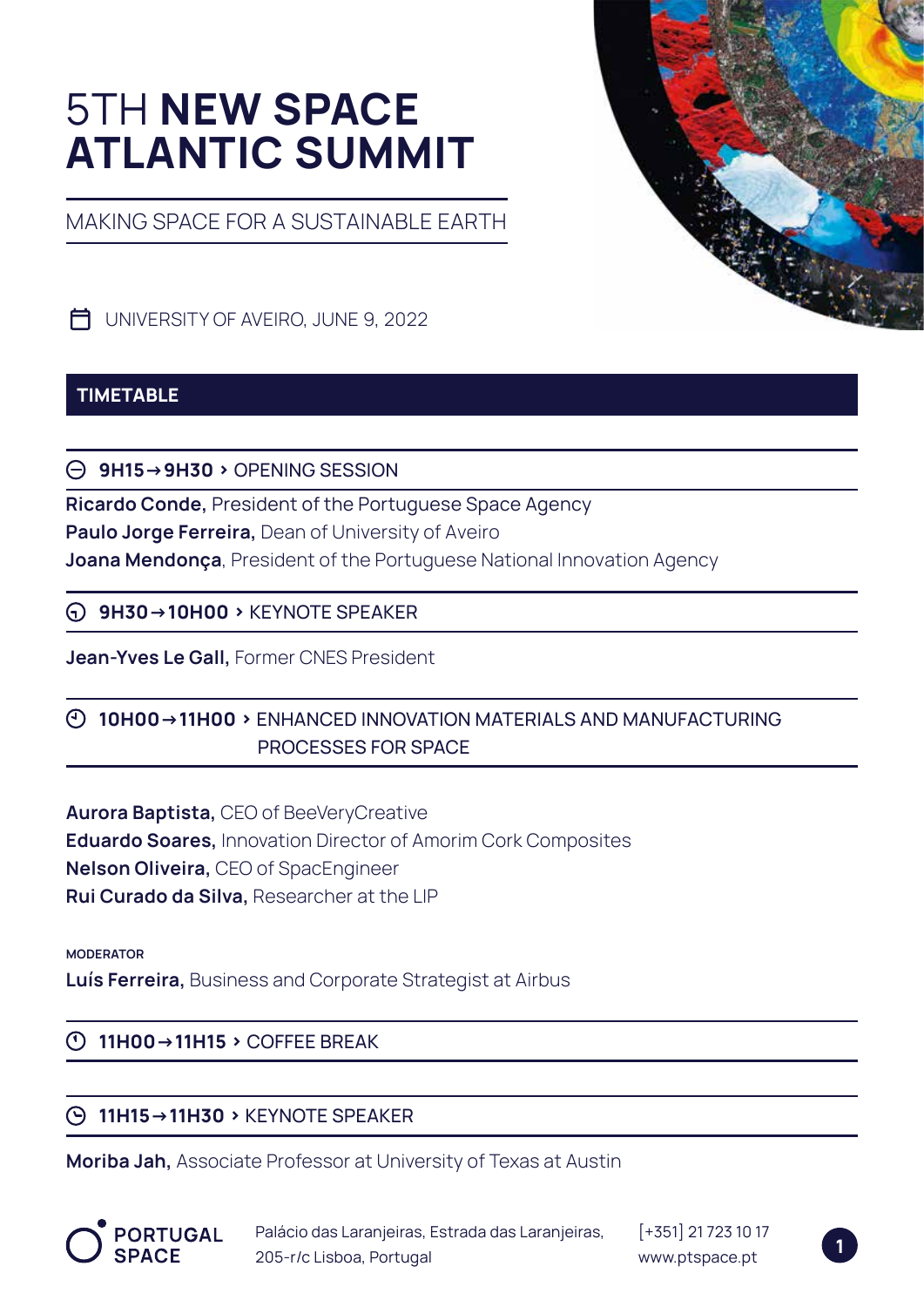# 5TH **NEW SPACE ATLANTIC SUMMIT**

MAKING SPACE FOR A SUSTAINABLE EARTH



UNIVERSITY OF AVEIRO, JUNE 9, 2022

# **TIMETABLE**

**9H15->9H30 ›** OPENING SESSION

**Ricardo Conde,** President of the Portuguese Space Agency **Paulo Jorge Ferreira,** Dean of University of Aveiro **Joana Mendonça**, President of the Portuguese National Innovation Agency

**9H30->10H00 ›** KEYNOTE SPEAKER

**Jean-Yves Le Gall,** Former CNES President

# **10H00->11H00 ›** ENHANCED INNOVATION MATERIALS AND MANUFACTURING PROCESSES FOR SPACE

**Aurora Baptista,** CEO of BeeVeryCreative **Eduardo Soares,** Innovation Director of Amorim Cork Composites **Nelson Oliveira,** CEO of SpacEngineer **Rui Curado da Silva,** Researcher at the LIP

**MODERATOR**

**Luís Ferreira,** Business and Corporate Strategist at Airbus

# **11H00->11H15 ›** COFFEE BREAK

# **11H15->11H30 ›** KEYNOTE SPEAKER

**Moriba Jah,** Associate Professor at University of Texas at Austin



Palácio das Laranjeiras, Estrada das Laranjeiras, 205-r/c Lisboa, Portugal

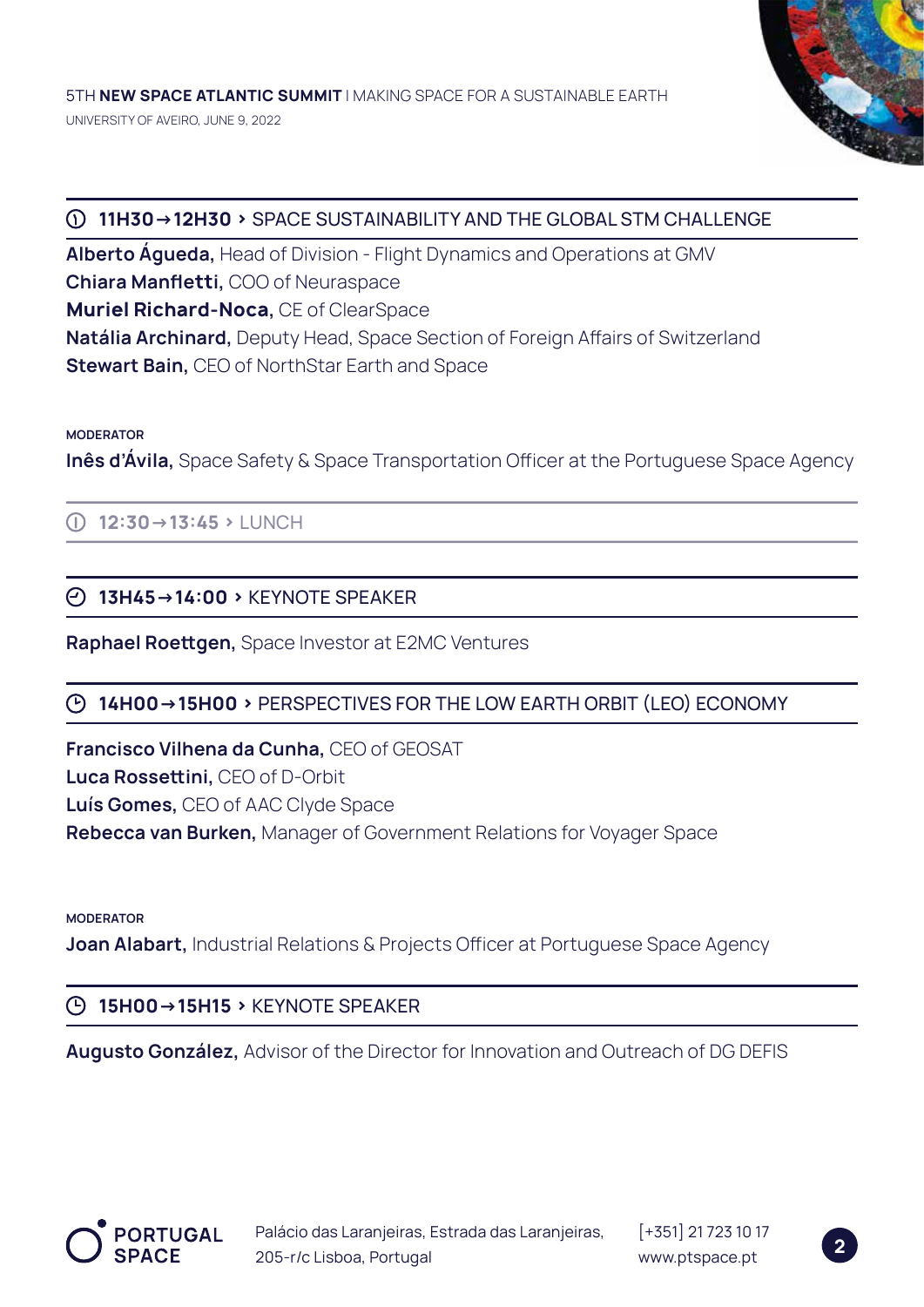

# **11H30->12H30 ›** SPACE SUSTAINABILITY AND THE GLOBAL STM CHALLENGE

**Alberto Águeda,** Head of Division - Flight Dynamics and Operations at GMV **Chiara Manfletti,** COO of Neuraspace **Muriel Richard-Noca,** CE of ClearSpace **Natália Archinard,** Deputy Head, Space Section of Foreign Affairs of Switzerland **Stewart Bain,** CEO of NorthStar Earth and Space

#### **MODERATOR**

**Inês d'Ávila,** Space Safety & Space Transportation Officer at the Portuguese Space Agency

**12:30->13:45 ›** LUNCH

## **13H45->14:00 ›** KEYNOTE SPEAKER

**Raphael Roettgen,** Space Investor at E2MC Ventures

## **14H00->15H00 ›** PERSPECTIVES FOR THE LOW EARTH ORBIT (LEO) ECONOMY

**Francisco Vilhena da Cunha,** CEO of GEOSAT **Luca Rossettini,** CEO of D-Orbit **Luís Gomes,** CEO of AAC Clyde Space **Rebecca van Burken,** Manager of Government Relations for Voyager Space

#### **MODERATOR**

**Joan Alabart, Industrial Relations & Projects Officer at Portuguese Space Agency** 

## **15H00->15H15 ›** KEYNOTE SPEAKER

**Augusto González,** Advisor of the Director for Innovation and Outreach of DG DEFIS